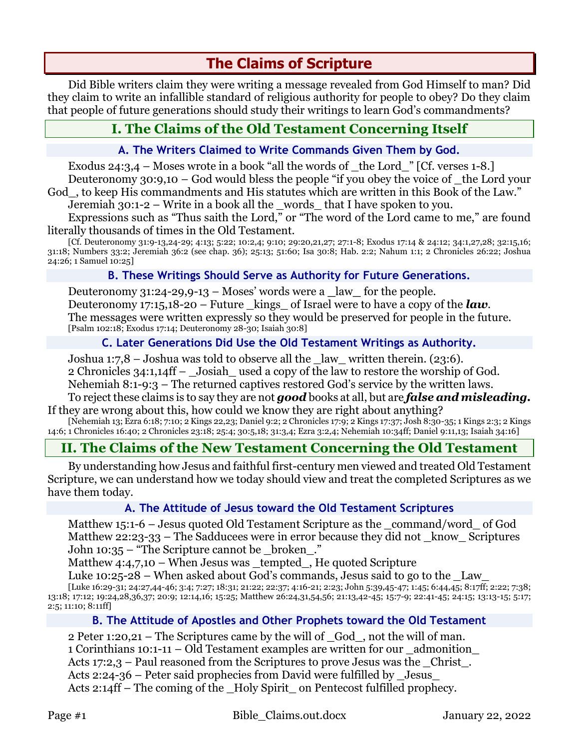# **The Claims of Scripture**

Did Bible writers claim they were writing a message revealed from God Himself to man? Did they claim to write an infallible standard of religious authority for people to obey? Do they claim that people of future generations should study their writings to learn God's commandments?

# **I. The Claims of the Old Testament Concerning Itself**

#### **A. The Writers Claimed to Write Commands Given Them by God.**

Exodus 24:3,4 – Moses wrote in a book "all the words of  $\pm$  the Lord  $\pm$  [Cf. verses 1-8.] Deuteronomy 30:9,10 – God would bless the people "if you obey the voice of \_the Lord your

God\_, to keep His commandments and His statutes which are written in this Book of the Law."

Jeremiah 30:1-2 – Write in a book all the \_words\_ that I have spoken to you.

Expressions such as "Thus saith the Lord," or "The word of the Lord came to me," are found literally thousands of times in the Old Testament.

[Cf. Deuteronomy 31:9-13,24-29; 4:13; 5:22; 10:2,4; 9:10; 29:20,21,27; 27:1-8; Exodus 17:14 & 24:12; 34:1,27,28; 32:15,16; 31:18; Numbers 33:2; Jeremiah 36:2 (see chap. 36); 25:13; 51:60; Isa 30:8; Hab. 2:2; Nahum 1:1; 2 Chronicles 26:22; Joshua 24:26; 1 Samuel 10:25]

#### **B. These Writings Should Serve as Authority for Future Generations.**

Deuteronomy 31:24-29,9-13 – Moses' words were a **\_**law**\_** for the people. Deuteronomy 17:15,18-20 – Future \_kings\_ of Israel were to have a copy of the *law*. The messages were written expressly so they would be preserved for people in the future. [Psalm 102:18; Exodus 17:14; Deuteronomy 28-30; Isaiah 30:8]

# **C. Later Generations Did Use the Old Testament Writings as Authority.**

Joshua 1:7,8 – Joshua was told to observe all the  $\lceil \text{law}\rceil$  written therein. (23:6). 2 Chronicles 34:1,14ff – Josiah used a copy of the law to restore the worship of God. Nehemiah 8:1-9:3 – The returned captives restored God's service by the written laws.

To reject these claims is to say they are not *good* books at all, but are *false and misleading.* If they are wrong about this, how could we know they are right about anything?

[Nehemiah 13; Ezra 6:18; 7:10; 2 Kings 22,23; Daniel 9:2; 2 Chronicles 17:9; 2 Kings 17:37; Josh 8:30-35; 1 Kings 2:3; 2 Kings 14:6; 1 Chronicles 16:40; 2 Chronicles 23:18; 25:4; 30:5,18; 31:3,4; Ezra 3:2,4; Nehemiah 10:34ff; Daniel 9:11,13; Isaiah 34:16]

# **II. The Claims of the New Testament Concerning the Old Testament**

By understanding how Jesus and faithful first-century men viewed and treated Old Testament Scripture, we can understand how we today should view and treat the completed Scriptures as we have them today.

#### **A. The Attitude of Jesus toward the Old Testament Scriptures**

Matthew 15:1-6 – Jesus quoted Old Testament Scripture as the \_command/word\_ of God Matthew 22:23-33 – The Sadducees were in error because they did not  $\;$  know  $\;$  Scriptures John 10:35 – "The Scripture cannot be \_broken\_."

Matthew  $4:4,7,10$  – When Jesus was tempted, He quoted Scripture

Luke 10:25-28 – When asked about God's commands, Jesus said to go to the Law

[Luke 16:29-31; 24:27,44-46; 3:4; 7:27; 18:31; 21:22; 22:37; 4:16-21; 2:23; John 5:39,45-47; 1:45; 6:44,45; 8:17ff; 2:22; 7:38; 13:18; 17:12; 19:24,28,36,37; 20:9; 12:14,16; 15:25; Matthew 26:24,31,54,56; 21:13,42-45; 15:7-9; 22:41-45; 24:15; 13:13-15; 5:17; 2:5; 11:10; 8:11ff]

# **B. The Attitude of Apostles and Other Prophets toward the Old Testament**

2 Peter 1:20,21 – The Scriptures came by the will of \_God\_, not the will of man. 1 Corinthians 10:1-11 – Old Testament examples are written for our \_admonition\_ Acts 17:2,3 – Paul reasoned from the Scriptures to prove Jesus was the Christ. Acts 2:24-36 – Peter said prophecies from David were fulfilled by \_Jesus\_ Acts 2:14ff – The coming of the Holy Spirit on Pentecost fulfilled prophecy.